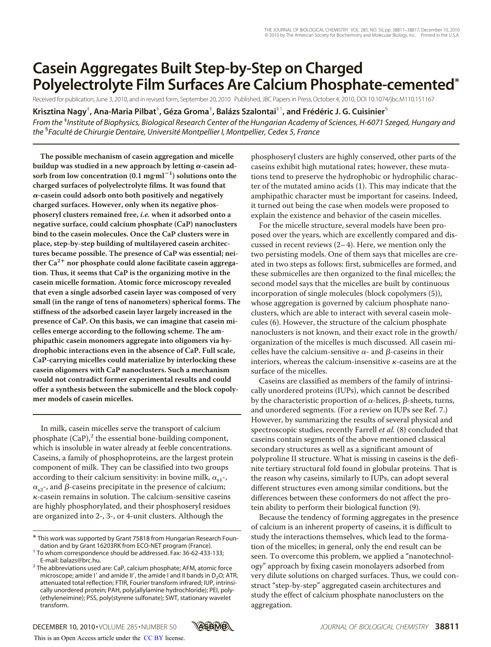# **Casein Aggregates Built Step-by-Step on Charged Polyelectrolyte Film Surfaces Are Calcium Phosphate-cemented\***

Received for publication, June 3, 2010, and in revised form, September 20, 2010 Published, JBC Papers in Press,October 4, 2010, DOI 10.1074/jbc.M110.151167

Krisztina Nagy<sup>‡</sup>, Ana-Maria Pilbat<sup>‡</sup>, Géza Groma<sup>‡</sup>, Balázs Szalontai<sup>‡1</sup>, and Frédéric J. G. Cuisinier<sup>§</sup>

*From the* ‡ *Institute of Biophysics, Biological Research Center of the Hungarian Academy of Sciences, H-6071 Szeged, Hungary and the* § *Faculte´ de Chirurgie Dentaire, Universite´ Montpellier I, Montpellier, Cedex 5, France*

**The possible mechanism of casein aggregation and micelle** buildup was studied in a new approach by letting α-casein ad**sorb from low concentration (0.1 mgml**-**1 ) solutions onto the charged surfaces of polyelectrolyte films. It was found that -casein could adsorb onto both positively and negatively charged surfaces. However, only when its negative phosphoseryl clusters remained free,** *i.e.* **when it adsorbed onto a negative surface, could calcium phosphate (CaP) nanoclusters bind to the casein molecules. Once the CaP clusters were in place, step-by-step building of multilayered casein architectures became possible. The presence of CaP was essential; nei**ther Ca<sup>2+</sup> nor phosphate could alone facilitate casein aggrega**tion. Thus, it seems that CaP is the organizing motive in the casein micelle formation. Atomic force microscopy revealed that even a single adsorbed casein layer was composed of very small (in the range of tens of nanometers) spherical forms. The stiffness of the adsorbed casein layer largely increased in the presence of CaP. On this basis, we can imagine that casein micelles emerge according to the following scheme. The amphipathic casein monomers aggregate into oligomers via hydrophobic interactions even in the absence of CaP. Full scale, CaP-carrying micelles could materialize by interlocking these casein oligomers with CaP nanoclusters. Such a mechanism would not contradict former experimental results and could offer a synthesis between the submicelle and the block copolymer models of casein micelles.**

In milk, casein micelles serve the transport of calcium phosphate  $(CaP)$ ,<sup>2</sup> the essential bone-building component, which is insoluble in water already at feeble concentrations. Caseins, a family of phosphoproteins, are the largest protein component of milk. They can be classified into two groups according to their calcium sensitivity: in bovine milk,  $\alpha_{s1}$ -,  $\alpha_{\rm s2}$ -, and  $\beta$ -caseins precipitate in the presence of calcium;  $\kappa$ -casein remains in solution. The calcium-sensitive caseins are highly phosphorylated, and their phosphoseryl residues are organized into 2-, 3-, or 4-unit clusters. Although the

phosphoseryl clusters are highly conserved, other parts of the caseins exhibit high mutational rates; however, these mutations tend to preserve the hydrophobic or hydrophilic character of the mutated amino acids (1). This may indicate that the amphipathic character must be important for caseins. Indeed, it turned out being the case when models were proposed to explain the existence and behavior of the casein micelles.

For the micelle structure, several models have been proposed over the years, which are excellently compared and discussed in recent reviews  $(2-4)$ . Here, we mention only the two persisting models. One of them says that micelles are created in two steps as follows: first, submicelles are formed, and these submicelles are then organized to the final micelles; the second model says that the micelles are built by continuous incorporation of single molecules (block copolymers (5)), whose aggregation is governed by calcium phosphate nanoclusters, which are able to interact with several casein molecules (6). However, the structure of the calcium phosphate nanoclusters is not known, and their exact role in the growth/ organization of the micelles is much discussed. All casein micelles have the calcium-sensitive  $\alpha$ - and  $\beta$ -caseins in their interiors, whereas the calcium-insensitive  $\kappa$ -caseins are at the surface of the micelles.

Caseins are classified as members of the family of intrinsically unordered proteins (IUPs), which cannot be described by the characteristic proportion of  $\alpha$ -helices,  $\beta$ -sheets, turns, and unordered segments. (For a review on IUPs see Ref. 7.) However, by summarizing the results of several physical and spectroscopic studies, recently Farrell *et al.* (8) concluded that caseins contain segments of the above mentioned classical secondary structures as well as a significant amount of polyproline II structure. What is missing in caseins is the definite tertiary structural fold found in globular proteins. That is the reason why caseins, similarly to IUPs, can adopt several different structures even among similar conditions, but the differences between these conformers do not affect the protein ability to perform their biological function (9).

Because the tendency of forming aggregates in the presence of calcium is an inherent property of caseins, it is difficult to study the interactions themselves, which lead to the formation of the micelles; in general, only the end result can be seen. To overcome this problem, we applied a "nanotechnology" approach by fixing casein monolayers adsorbed from very dilute solutions on charged surfaces. Thus, we could construct "step-by-step" aggregated casein architectures and study the effect of calcium phosphate nanoclusters on the aggregation.



<sup>\*</sup> This work was supported by Grant 75818 from Hungarian Research Foun-

 $1$  To whom correspondence should be addressed. Fax: 36-62-433-133;

E-mail: balazs@brc.hu. <sup>2</sup> The abbreviations used are: CaP, calcium phosphate; AFM, atomic force microscope; amide I' and amide II', the amide I and II bands in  $D_2O$ ; ATR, attenuated total reflection; FTIR, Fourier transform infrared; IUP, intrinsically unordered protein; PAH, poly(allylamine hydrochloride); PEI, poly- (ethyleneimine); PSS, poly(styrene sulfonate); SWT, stationary wavelet transform.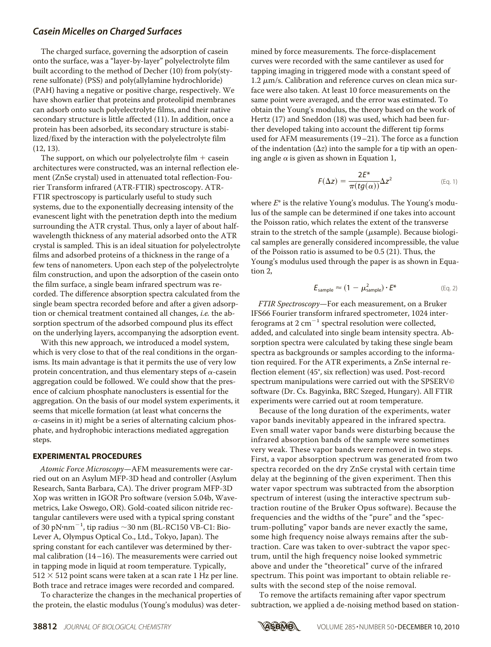# *Casein Micelles on Charged Surfaces*

The charged surface, governing the adsorption of casein onto the surface, was a "layer-by-layer" polyelectrolyte film built according to the method of Decher (10) from poly(styrene sulfonate) (PSS) and poly(allylamine hydrochloride) (PAH) having a negative or positive charge, respectively. We have shown earlier that proteins and proteolipid membranes can adsorb onto such polyelectrolyte films, and their native secondary structure is little affected (11). In addition, once a protein has been adsorbed, its secondary structure is stabilized/fixed by the interaction with the polyelectrolyte film (12, 13).

The support, on which our polyelectrolyte film  $+$  casein architectures were constructed, was an internal reflection element (ZnSe crystal) used in attenuated total reflection-Fourier Transform infrared (ATR-FTIR) spectroscopy. ATR-FTIR spectroscopy is particularly useful to study such systems, due to the exponentially decreasing intensity of the evanescent light with the penetration depth into the medium surrounding the ATR crystal. Thus, only a layer of about halfwavelength thickness of any material adsorbed onto the ATR crystal is sampled. This is an ideal situation for polyelectrolyte films and adsorbed proteins of a thickness in the range of a few tens of nanometers. Upon each step of the polyelectrolyte film construction, and upon the adsorption of the casein onto the film surface, a single beam infrared spectrum was recorded. The difference absorption spectra calculated from the single beam spectra recorded before and after a given adsorption or chemical treatment contained all changes, *i.e.* the absorption spectrum of the adsorbed compound plus its effect on the underlying layers, accompanying the adsorption event.

With this new approach, we introduced a model system, which is very close to that of the real conditions in the organisms. Its main advantage is that it permits the use of very low protein concentration, and thus elementary steps of  $\alpha$ -casein aggregation could be followed. We could show that the presence of calcium phosphate nanoclusters is essential for the aggregation. On the basis of our model system experiments, it seems that micelle formation (at least what concerns the  $\alpha$ -caseins in it) might be a series of alternating calcium phosphate, and hydrophobic interactions mediated aggregation steps.

### **EXPERIMENTAL PROCEDURES**

*Atomic Force Microscopy*—AFM measurements were carried out on an Asylum MFP-3D head and controller (Asylum Research, Santa Barbara, CA). The driver program MFP-3D Xop was written in IGOR Pro software (version 5.04b, Wavemetrics, Lake Oswego, OR). Gold-coated silicon nitride rectangular cantilevers were used with a typical spring constant of 30 pN·nm<sup>-1</sup>, tip radius  $\sim$  30 nm (BL-RC150 VB-C1: Bio-Lever A, Olympus Optical Co., Ltd., Tokyo, Japan). The spring constant for each cantilever was determined by thermal calibration (14–16). The measurements were carried out in tapping mode in liquid at room temperature. Typically,  $512 \times 512$  point scans were taken at a scan rate 1 Hz per line. Both trace and retrace images were recorded and compared.

To characterize the changes in the mechanical properties of the protein, the elastic modulus (Young's modulus) was determined by force measurements. The force-displacement curves were recorded with the same cantilever as used for tapping imaging in triggered mode with a constant speed of  $1.2 \mu m/s$ . Calibration and reference curves on clean mica surface were also taken. At least 10 force measurements on the same point were averaged, and the error was estimated. To obtain the Young's modulus, the theory based on the work of Hertz (17) and Sneddon (18) was used, which had been further developed taking into account the different tip forms used for AFM measurements (19–21). The force as a function of the indentation  $(\Delta z)$  into the sample for a tip with an opening angle  $\alpha$  is given as shown in Equation 1,

$$
F(\Delta z) = \frac{2E^*}{\pi (tg(\alpha))} \Delta z^2
$$
 (Eq. 1)

where *E*\* is the relative Young's modulus. The Young's modulus of the sample can be determined if one takes into account the Poisson ratio, which relates the extent of the transverse strain to the stretch of the sample ( $\mu$ sample). Because biological samples are generally considered incompressible, the value of the Poisson ratio is assumed to be 0.5 (21). Thus, the Young's modulus used through the paper is as shown in Equation 2,

$$
E_{\text{sample}} \approx (1 - \mu_{\text{sample}}^2) \cdot E^*
$$
 (Eq. 2)

*FTIR Spectroscopy*—For each measurement, on a Bruker IFS66 Fourier transform infrared spectrometer, 1024 interferograms at 2  $\text{cm}^{-1}$  spectral resolution were collected, added, and calculated into single beam intensity spectra. Absorption spectra were calculated by taking these single beam spectra as backgrounds or samples according to the information required. For the ATR experiments, a ZnSe internal reflection element (45°, six reflection) was used. Post-record spectrum manipulations were carried out with the SPSERV© software (Dr. Cs. Bagyinka, BRC Szeged, Hungary). All FTIR experiments were carried out at room temperature.

Because of the long duration of the experiments, water vapor bands inevitably appeared in the infrared spectra. Even small water vapor bands were disturbing because the infrared absorption bands of the sample were sometimes very weak. These vapor bands were removed in two steps. First, a vapor absorption spectrum was generated from two spectra recorded on the dry ZnSe crystal with certain time delay at the beginning of the given experiment. Then this water vapor spectrum was subtracted from the absorption spectrum of interest (using the interactive spectrum subtraction routine of the Bruker Opus software). Because the frequencies and the widths of the "pure" and the "spectrum-polluting" vapor bands are never exactly the same, some high frequency noise always remains after the subtraction. Care was taken to over-subtract the vapor spectrum, until the high frequency noise looked symmetric above and under the "theoretical" curve of the infrared spectrum. This point was important to obtain reliable results with the second step of the noise removal.

To remove the artifacts remaining after vapor spectrum subtraction, we applied a de-noising method based on station-

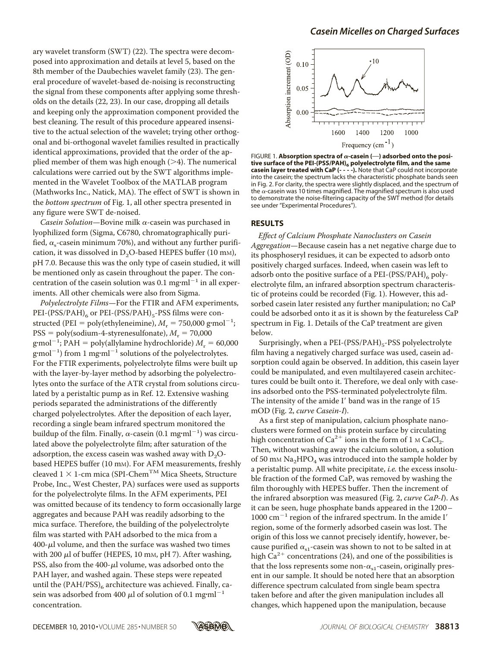ary wavelet transform (SWT) (22). The spectra were decomposed into approximation and details at level 5, based on the 8th member of the Daubechies wavelet family (23). The general procedure of wavelet-based de-noising is reconstructing the signal from these components after applying some thresholds on the details (22, 23). In our case, dropping all details and keeping only the approximation component provided the best cleaning. The result of this procedure appeared insensitive to the actual selection of the wavelet; trying other orthogonal and bi-orthogonal wavelet families resulted in practically identical approximations, provided that the order of the applied member of them was high enough  $(>4)$ . The numerical calculations were carried out by the SWT algorithms implemented in the Wavelet Toolbox of the MATLAB program (Mathworks Inc., Natick, MA). The effect of SWT is shown in the *bottom spectrum* of Fig. 1, all other spectra presented in any figure were SWT de-noised.

*Casein Solution*—Bovine milk  $\alpha$ -casein was purchased in lyophilized form (Sigma, C6780, chromatographically purified,  $\alpha_{s}$ -casein minimum 70%), and without any further purification, it was dissolved in  $D_2O$ -based HEPES buffer (10 mm), pH 7.0. Because this was the only type of casein studied, it will be mentioned only as casein throughout the paper. The concentration of the casein solution was 0.1 mg $\text{m}$ <sup>-1</sup> in all experiments. All other chemicals were also from Sigma.

*Polyelectrolyte Films*—For the FTIR and AFM experiments, PEI-(PSS/PAH) $_6$  or PEI-(PSS/PAH) $_5$ -PSS films were constructed (PEI = poly(ethyleneimine),  $M_{\rm r}$  = 750,000 g·mol<sup>-1</sup>;  $\text{PSS} = \text{poly}(\text{sodium-4-styrenesulfonate}), M_r = 70,000$  $\text{g} \cdot \text{mol}^{-1}$ ; PAH = poly(allylamine hydrochloride)  $M_r = 60,000$  $g$ ·mol $^{-1}$ ) from 1 mg·ml $^{-1}$  solutions of the polyelectrolytes. For the FTIR experiments, polyelectrolyte films were built up with the layer-by-layer method by adsorbing the polyelectrolytes onto the surface of the ATR crystal from solutions circulated by a peristaltic pump as in Ref. 12. Extensive washing periods separated the administrations of the differently charged polyelectrolytes. After the deposition of each layer, recording a single beam infrared spectrum monitored the buildup of the film. Finally,  $\alpha$ -casein (0.1 mg·ml<sup>-1</sup>) was circulated above the polyelectrolyte film; after saturation of the adsorption, the excess casein was washed away with  $D_2O$ based HEPES buffer (10 mm). For AFM measurements, freshly cleaved  $1 \times 1$ -cm mica (SPI-Chem<sup>TM</sup> Mica Sheets, Structure Probe, Inc., West Chester, PA) surfaces were used as supports for the polyelectrolyte films. In the AFM experiments, PEI was omitted because of its tendency to form occasionally large aggregates and because PAH was readily adsorbing to the mica surface. Therefore, the building of the polyelectrolyte film was started with PAH adsorbed to the mica from a  $400$ - $\mu$ l volume, and then the surface was washed two times with 200  $\mu$ l of buffer (HEPES, 10 mm, pH 7). After washing, PSS, also from the  $400-\mu l$  volume, was adsorbed onto the PAH layer, and washed again. These steps were repeated until the  $(PAH/PSS)_6$  architecture was achieved. Finally, casein was adsorbed from 400  $\mu$ l of solution of 0.1 mg·ml<sup>-1</sup> concentration.



FIGURE 1. Absorption spectra of  $\alpha$ -casein  $(-)$  adsorbed onto the posi**tive surface of the PEI-(PSS/PAH)6 polyelectrolyte film, and the same casein layer treated with CaP (- - - -).** Note that CaP could not incorporate into the casein; the spectrum lacks the characteristic phosphate bands seen in Fig. 2. For clarity, the spectra were slightly displaced, and the spectrum of the  $\alpha$ -casein was 10 times magnified. The magnified spectrum is also used to demonstrate the noise-filtering capacity of the SWT method (for details see under "Experimental Procedures").

### **RESULTS**

*Effect of Calcium Phosphate Nanoclusters on Casein Aggregation*—Because casein has a net negative charge due to its phosphoseryl residues, it can be expected to adsorb onto positively charged surfaces. Indeed, when casein was left to adsorb onto the positive surface of a PEI-(PSS/PAH)<sub>6</sub> polyelectrolyte film, an infrared absorption spectrum characteristic of proteins could be recorded (Fig. 1). However, this adsorbed casein later resisted any further manipulation; no CaP could be adsorbed onto it as it is shown by the featureless CaP spectrum in Fig. 1. Details of the CaP treatment are given below.

Surprisingly, when a PEI-(PSS/PAH) $<sub>5</sub>$ -PSS polyelectrolyte</sub> film having a negatively charged surface was used, casein adsorption could again be observed. In addition, this casein layer could be manipulated, and even multilayered casein architectures could be built onto it. Therefore, we deal only with caseins adsorbed onto the PSS-terminated polyelectrolyte film. The intensity of the amide I' band was in the range of 15 mOD (Fig. 2, *curve Casein-I*).

As a first step of manipulation, calcium phosphate nanoclusters were formed on this protein surface by circulating high concentration of  $Ca^{2+}$  ions in the form of 1 M CaCl<sub>2</sub>. Then, without washing away the calcium solution, a solution of 50 mm  $\text{Na}_2\text{HPO}_4$  was introduced into the sample holder by a peristaltic pump. All white precipitate, *i.e.* the excess insoluble fraction of the formed CaP, was removed by washing the film thoroughly with HEPES buffer. Then the increment of the infrared absorption was measured (Fig. 2, *curve CaP-I*). As it can be seen, huge phosphate bands appeared in the 1200–  $1000$  cm<sup>-1</sup> region of the infrared spectrum. In the amide I' region, some of the formerly adsorbed casein was lost. The origin of this loss we cannot precisely identify, however, because purified  $\alpha_{s1}$ -casein was shown to not to be salted in at high  $Ca^{2+}$  concentrations (24), and one of the possibilities is that the loss represents some non- $\alpha_{s1}$ -casein, originally present in our sample. It should be noted here that an absorption difference spectrum calculated from single beam spectra taken before and after the given manipulation includes all changes, which happened upon the manipulation, because

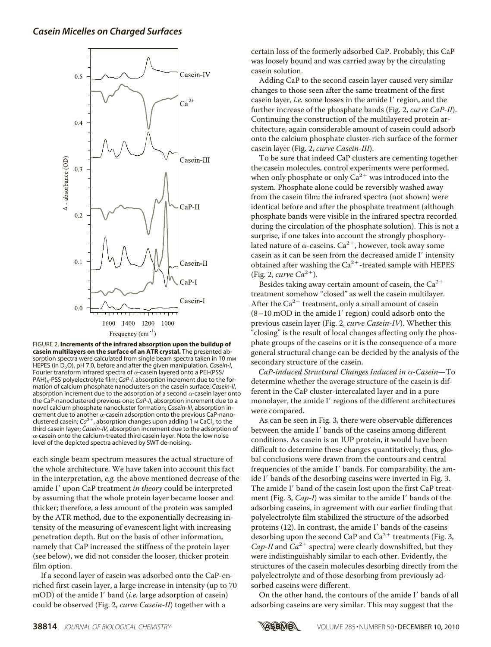# *Casein Micelles on Charged Surfaces*



FIGURE 2. **Increments of the infrared absorption upon the buildup of casein multilayers on the surface of an ATR crystal.** The presented absorption spectra were calculated from single beam spectra taken in 10 mm HEPES (in D<sub>2</sub>O), pH 7.0, before and after the given manipulation. *Casein-I*, Fourier transform infrared spectra of  $\alpha$ -casein layered onto a PEI-(PSS/ PAH)<sub>5</sub>-PSS polyelectrolyte film; *CaP-I*, absorption increment due to the formation of calcium phosphate nanoclusters on the casein surface; *Casein-II*, absorption increment due to the adsorption of a second  $\alpha$ -casein layer onto the CaP-nanoclustered previous one; *CaP-II*, absorption increment due to a novel calcium phosphate nanocluster formation; *Casein-III*, absorption increment due to another  $\alpha$ -casein adsorption onto the previous CaP-nanoclustered casein;  $Ca^{2+}$ , absorption changes upon adding 1 M CaCl<sub>2</sub> to the third casein layer; *Casein-IV,* absorption increment due to the adsorption of  $\alpha$ -casein onto the calcium-treated third casein layer. Note the low noise level of the depicted spectra achieved by SWT de-noising.

each single beam spectrum measures the actual structure of the whole architecture. We have taken into account this fact in the interpretation, *e.g.* the above mentioned decrease of the amide I' upon CaP treatment *in theory* could be interpreted by assuming that the whole protein layer became looser and thicker; therefore, a less amount of the protein was sampled by the ATR method, due to the exponentially decreasing intensity of the measuring of evanescent light with increasing penetration depth. But on the basis of other information, namely that CaP increased the stiffness of the protein layer (see below), we did not consider the looser, thicker protein film option.

If a second layer of casein was adsorbed onto the CaP-enriched first casein layer, a large increase in intensity (up to 70 mOD) of the amide I' band (*i.e.* large adsorption of casein) could be observed (Fig. 2, *curve Casein-II*) together with a

certain loss of the formerly adsorbed CaP. Probably, this CaP was loosely bound and was carried away by the circulating casein solution.

Adding CaP to the second casein layer caused very similar changes to those seen after the same treatment of the first casein layer, *i.e.* some losses in the amide I' region, and the further increase of the phosphate bands (Fig. 2, *curve CaP-II*). Continuing the construction of the multilayered protein architecture, again considerable amount of casein could adsorb onto the calcium phosphate cluster-rich surface of the former casein layer (Fig. 2, *curve Casein-III*).

To be sure that indeed CaP clusters are cementing together the casein molecules, control experiments were performed, when only phosphate or only  $Ca^{2+}$  was introduced into the system. Phosphate alone could be reversibly washed away from the casein film; the infrared spectra (not shown) were identical before and after the phosphate treatment (although phosphate bands were visible in the infrared spectra recorded during the circulation of the phosphate solution). This is not a surprise, if one takes into account the strongly phosphorylated nature of  $\alpha$ -caseins. Ca<sup>2+</sup>, however, took away some casein as it can be seen from the decreased amide I' intensity obtained after washing the  $\text{Ca}^{2+}$ -treated sample with HEPES (Fig. 2, *curve*  $Ca^{2+}$ ).

Besides taking away certain amount of casein, the  $Ca^{2+}$ treatment somehow "closed" as well the casein multilayer. After the  $Ca^{2+}$  treatment, only a small amount of casein  $(8-10 \text{ mOD}$  in the amide I' region) could adsorb onto the previous casein layer (Fig. 2, *curve Casein-IV*). Whether this "closing" is the result of local changes affecting only the phosphate groups of the caseins or it is the consequence of a more general structural change can be decided by the analysis of the secondary structure of the casein.

*CaP-induced Structural Changes Induced in* α-Casein-To determine whether the average structure of the casein is different in the CaP cluster-intercalated layer and in a pure monolayer, the amide I' regions of the different architectures were compared.

As can be seen in Fig. 3, there were observable differences between the amide I' bands of the caseins among different conditions. As casein is an IUP protein, it would have been difficult to determine these changes quantitatively; thus, global conclusions were drawn from the contours and central frequencies of the amide I' bands. For comparability, the amide I' bands of the desorbing caseins were inverted in Fig. 3. The amide I' band of the casein lost upon the first CaP treatment (Fig. 3, *Cap-I*) was similar to the amide I' bands of the adsorbing caseins, in agreement with our earlier finding that polyelectrolyte film stabilized the structure of the adsorbed proteins  $(12)$ . In contrast, the amide I' bands of the caseins desorbing upon the second CaP and  $\text{Ca}^{2+}$  treatments (Fig. 3, Cap-II and  $Ca^{2+}$  spectra) were clearly downshifted, but they were indistinguishably similar to each other. Evidently, the structures of the casein molecules desorbing directly from the polyelectrolyte and of those desorbing from previously adsorbed caseins were different.

On the other hand, the contours of the amide I' bands of all adsorbing caseins are very similar. This may suggest that the

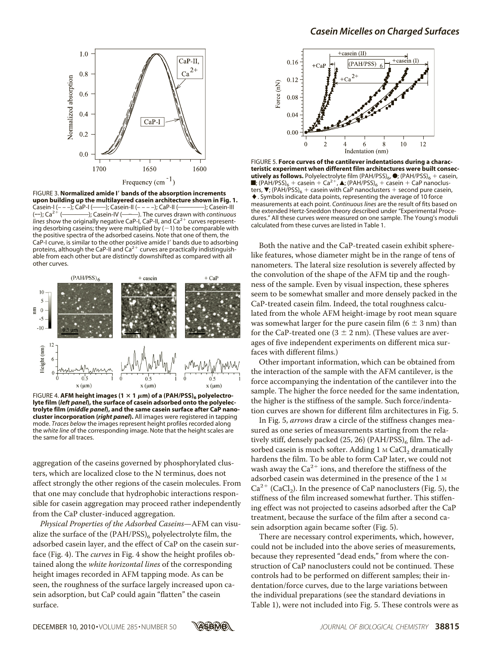

FIGURE 3. **Normalized amide I**- **bands of the absorption increments upon building up the multilayered casein architecture shown in Fig. 1.** Casein-I (- - -); CaP-I (- -------); Casein-II (- - - --); CaP-II (- $(-$ ; Ca<sup>2+</sup> (– (OOOO); Casein-IV (OO). The curves drawn with *continuous* lines show the originally negative CaP-I, CaP-II, and Ca<sup>2+</sup> curves representing desorbing caseins; they were multiplied by  $(-1)$  to be comparable with the positive spectra of the adsorbed caseins. Note that one of them, the CaP-I curve, is similar to the other positive amide I' bands due to adsorbing proteins, although the CaP-II and  $\text{Ca}^{2+}$  curves are practically indistinguishable from each other but are distinctly downshifted as compared with all other curves.



FIGURE 4. AFM height images ( $1 \times 1$   $\mu$ m) of a (PAH/PSS)<sub>6</sub> polyelectro**lyte film (***left panel***), the surface of casein adsorbed onto the polyelectrolyte film (***middle panel***), and the same casein surface after CaP nanocluster incorporation (***right panel***).** All images were registered in tapping mode. *Traces below* the images represent height profiles recorded along the *white line* of the corresponding image. Note that the height scales are the same for all traces.

aggregation of the caseins governed by phosphorylated clusters, which are localized close to the N terminus, does not affect strongly the other regions of the casein molecules. From that one may conclude that hydrophobic interactions responsible for casein aggregation may proceed rather independently from the CaP cluster-induced aggregation.

*Physical Properties of the Adsorbed Caseins*—AFM can visualize the surface of the  $(PAH/PSS)_6$  polyelectrolyte film, the adsorbed casein layer, and the effect of CaP on the casein surface (Fig. 4). The *curves* in Fig. 4 show the height profiles obtained along the *white horizontal lines* of the corresponding height images recorded in AFM tapping mode. As can be seen, the roughness of the surface largely increased upon casein adsorption, but CaP could again "flatten" the casein surface.



FIGURE 5. **Force curves of the cantilever indentations during a characteristic experiment when different film architectures were built consecutively as follows.** Polyelectrolyte film (PAH/PSS)<sub>6</sub>,  $\bullet$ ; (PAH/PSS)<sub>6</sub> + casein,  $\blacksquare$ ; (PAH/PSS)<sub>6</sub> + casein + Ca<sup>2+</sup>, **A**; (PAH/PSS)<sub>6</sub> + casein + CaP nanoclusters,  $\blacktriangledown$ ; (PAH/PSS)<sub>6</sub> + casein with CaP nanoclusters + second pure casein, . Symbols indicate data points, representing the average of 10 force measurements at each point. *Continuous lines* are the result of fits based on the extended Hertz-Sneddon theory described under "Experimental Procedures." All these curves were measured on one sample. The Young's moduli calculated from these curves are listed in Table 1.

Both the native and the CaP-treated casein exhibit spherelike features, whose diameter might be in the range of tens of nanometers. The lateral size resolution is severely affected by the convolution of the shape of the AFM tip and the roughness of the sample. Even by visual inspection, these spheres seem to be somewhat smaller and more densely packed in the CaP-treated casein film. Indeed, the total roughness calculated from the whole AFM height-image by root mean square was somewhat larger for the pure case in film  $(6 \pm 3 \text{ nm})$  than for the CaP-treated one  $(3 \pm 2 \text{ nm})$ . (These values are averages of five independent experiments on different mica surfaces with different films.)

Other important information, which can be obtained from the interaction of the sample with the AFM cantilever, is the force accompanying the indentation of the cantilever into the sample. The higher the force needed for the same indentation, the higher is the stiffness of the sample. Such force/indentation curves are shown for different film architectures in Fig. 5.

In Fig. 5, *arrows* draw a circle of the stiffness changes measured as one series of measurements starting from the relatively stiff, densely packed  $(25, 26)$  (PAH/PSS)<sub>6</sub> film. The adsorbed casein is much softer. Adding 1 M CaCl<sub>2</sub> dramatically hardens the film. To be able to form CaP later, we could not wash away the  $\text{Ca}^{2+}$  ions, and therefore the stiffness of the adsorbed casein was determined in the presence of the 1 M  $Ca^{2+}$  (CaCl<sub>2</sub>). In the presence of CaP nanoclusters (Fig. 5), the stiffness of the film increased somewhat further. This stiffening effect was not projected to caseins adsorbed after the CaP treatment, because the surface of the film after a second casein adsorption again became softer (Fig. 5).

There are necessary control experiments, which, however, could not be included into the above series of measurements, because they represented "dead ends," from where the construction of CaP nanoclusters could not be continued. These controls had to be performed on different samples; their indentation/force curves, due to the large variations between the individual preparations (see the standard deviations in Table 1), were not included into Fig. 5. These controls were as

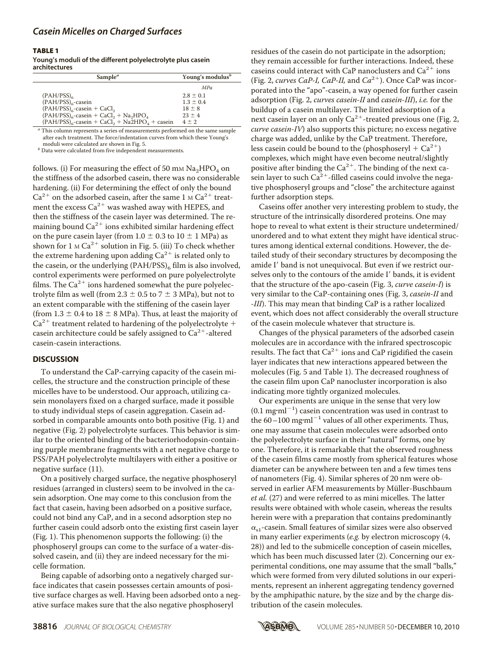# *Casein Micelles on Charged Surfaces*

#### TABLE 1

**Young's moduli of the different polyelectrolyte plus casein architectures**

| Sample <sup><math>a</math></sup>                                               | Young's modulus <sup>b</sup> |
|--------------------------------------------------------------------------------|------------------------------|
|                                                                                | <b>MPa</b>                   |
| $(PAH/PSS)_{6}$                                                                | $2.8 \pm 0.1$                |
| $(PAH/PSS)_{6}$ -casein                                                        | $1.3 \pm 0.4$                |
| $(PAH/PSS)_{6}$ -casein + CaCl <sub>2</sub>                                    | $18 \pm 8$                   |
| $(PAH/PSS)_{6}$ -casein + CaCl <sub>2</sub> + Na <sub>2</sub> HPO <sub>4</sub> | $23 \pm 4$                   |
| $(PAH/PSS)_{6}$ -casein + CaCl <sub>2</sub> + Na2HPO <sub>4</sub> + casein     | $4 + 2$                      |

*<sup>a</sup>* This column represents a series of measurements performed on the same sample after each treatment. The force/indentation curves from which these Young's moduli were calculated are shown in Fig. 5.

*b* Data were calculated from five independent measurements.

follows. (i) For measuring the effect of 50 mm  $\text{Na}_2\text{HPO}_4$  on the stiffness of the adsorbed casein, there was no considerable hardening. (ii) For determining the effect of only the bound  $Ca^{2+}$  on the adsorbed casein, after the same 1 M  $Ca^{2+}$  treatment the excess  $\text{Ca}^{2+}$  was washed away with HEPES, and then the stiffness of the casein layer was determined. The remaining bound  $\text{Ca}^{2+}$  ions exhibited similar hardening effect on the pure casein layer (from  $1.0 \pm 0.3$  to  $10 \pm 1$  MPa) as shown for  $1 \text{ M Ca}^{2+}$  solution in Fig. 5. (iii) To check whether the extreme hardening upon adding  $Ca^{2+}$  is related only to the casein, or the underlying  $(PAH/PSS)_{6}$  film is also involved, control experiments were performed on pure polyelectrolyte films. The  $Ca^{2+}$  ions hardened somewhat the pure polyelectrolyte film as well (from  $2.3 \pm 0.5$  to  $7 \pm 3$  MPa), but not to an extent comparable with the stiffening of the casein layer (from  $1.3 \pm 0.4$  to  $18 \pm 8$  MPa). Thus, at least the majority of  $Ca^{2+}$  treatment related to hardening of the polyelectrolyte + casein architecture could be safely assigned to  $Ca^{2+}$ -altered casein-casein interactions.

### **DISCUSSION**

To understand the CaP-carrying capacity of the casein micelles, the structure and the construction principle of these micelles have to be understood. Our approach, utilizing casein monolayers fixed on a charged surface, made it possible to study individual steps of casein aggregation. Casein adsorbed in comparable amounts onto both positive (Fig. 1) and negative (Fig. 2) polyelectrolyte surfaces. This behavior is similar to the oriented binding of the bacteriorhodopsin-containing purple membrane fragments with a net negative charge to PSS/PAH polyelectrolyte multilayers with either a positive or negative surface (11).

On a positively charged surface, the negative phosphoseryl residues (arranged in clusters) seem to be involved in the casein adsorption. One may come to this conclusion from the fact that casein, having been adsorbed on a positive surface, could not bind any CaP, and in a second adsorption step no further casein could adsorb onto the existing first casein layer (Fig. 1). This phenomenon supports the following: (i) the phosphoseryl groups can come to the surface of a water-dissolved casein, and (ii) they are indeed necessary for the micelle formation.

Being capable of adsorbing onto a negatively charged surface indicates that casein possesses certain amounts of positive surface charges as well. Having been adsorbed onto a negative surface makes sure that the also negative phosphoseryl

residues of the casein do not participate in the adsorption; they remain accessible for further interactions. Indeed, these caseins could interact with CaP nanoclusters and  $Ca^{2+}$  ions (Fig. 2, *curves CaP-I, CaP-II*, and  $Ca^{2+}$ ). Once CaP was incorporated into the "apo"-casein, a way opened for further casein adsorption (Fig. 2, *curves casein-II* and *casein-III*), *i.e.* for the buildup of a casein multilayer. The limited adsorption of a next casein layer on an only Ca<sup>2+</sup>-treated previous one (Fig. 2, *curve casein-IV*) also supports this picture; no excess negative charge was added, unlike by the CaP treatment. Therefore, less casein could be bound to the (phosphoseryl +  $Ca^{2+}$ ) complexes, which might have even become neutral/slightly positive after binding the  $Ca^{2+}$ . The binding of the next casein layer to such  $Ca^{2+}$ -filled caseins could involve the negative phosphoseryl groups and "close" the architecture against further adsorption steps.

Caseins offer another very interesting problem to study, the structure of the intrinsically disordered proteins. One may hope to reveal to what extent is their structure undetermined/ unordered and to what extent they might have identical structures among identical external conditions. However, the detailed study of their secondary structures by decomposing the amide I' band is not unequivocal. But even if we restrict ourselves only to the contours of the amide I' bands, it is evident that the structure of the apo-casein (Fig. 3, *curve casein-I*) is very similar to the CaP-containing ones (Fig. 3, *casein-II* and *-III*). This may mean that binding CaP is a rather localized event, which does not affect considerably the overall structure of the casein molecule whatever that structure is.

Changes of the physical parameters of the adsorbed casein molecules are in accordance with the infrared spectroscopic results. The fact that  $Ca^{2+}$  ions and CaP rigidified the casein layer indicates that new interactions appeared between the molecules (Fig. 5 and Table 1). The decreased roughness of the casein film upon CaP nanocluster incorporation is also indicating more tightly organized molecules.

Our experiments are unique in the sense that very low  $(0.1$  mg·ml<sup>-1</sup>) casein concentration was used in contrast to the  $60-100$  mg·ml<sup>-1</sup> values of all other experiments. Thus, one may assume that casein molecules were adsorbed onto the polyelectrolyte surface in their "natural" forms, one by one. Therefore, it is remarkable that the observed roughness of the casein films came mostly from spherical features whose diameter can be anywhere between ten and a few times tens of nanometers (Fig. 4). Similar spheres of 20 nm were observed in earlier AFM measurements by Müller-Buschbaum *et al.* (27) and were referred to as mini micelles. The latter results were obtained with whole casein, whereas the results herein were with a preparation that contains predominantly  $\alpha_{s1}$ -casein. Small features of similar sizes were also observed in many earlier experiments (*e.g.* by electron microscopy (4, 28)) and led to the submicelle conception of casein micelles, which has been much discussed later (2). Concerning our experimental conditions, one may assume that the small "balls," which were formed from very diluted solutions in our experiments, represent an inherent aggregating tendency governed by the amphipathic nature, by the size and by the charge distribution of the casein molecules.